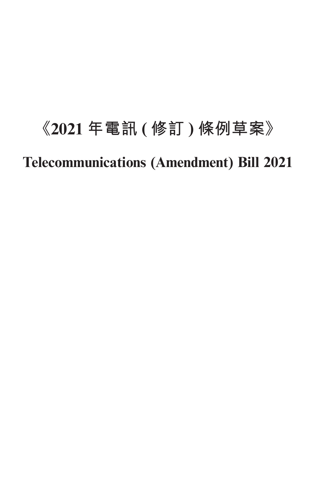# **《2021 年電訊 ( 修訂 ) 條例草案》 Telecommunications (Amendment) Bill 2021**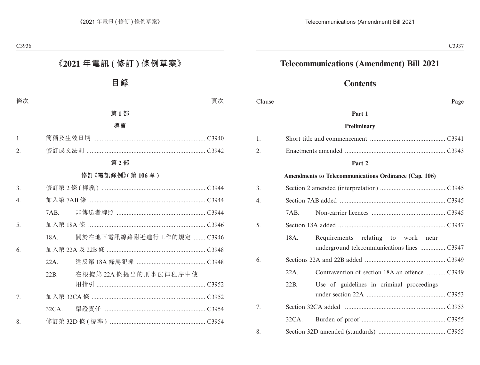# **Telecommunications (Amendment) Bill 2021**

# **Contents**

| Clause |         | Page                                                                              |  |
|--------|---------|-----------------------------------------------------------------------------------|--|
|        |         | Part 1                                                                            |  |
|        |         | Preliminary                                                                       |  |
| 1.     |         |                                                                                   |  |
| 2.     |         |                                                                                   |  |
|        |         | Part 2                                                                            |  |
|        |         | Amendments to Telecommunications Ordinance (Cap. 106)                             |  |
| 3.     |         |                                                                                   |  |
| 4.     |         |                                                                                   |  |
|        | 7AB.    |                                                                                   |  |
| 5.     |         |                                                                                   |  |
|        | 18A.    | Requirements relating to work near<br>underground telecommunications lines  C3947 |  |
| 6.     |         |                                                                                   |  |
|        | $22A$ . | Contravention of section 18A an offence  C3949                                    |  |
|        | 22B.    | Use of guidelines in criminal proceedings                                         |  |
| 7.     |         |                                                                                   |  |
|        | 32CA.   |                                                                                   |  |
| 8.     |         |                                                                                   |  |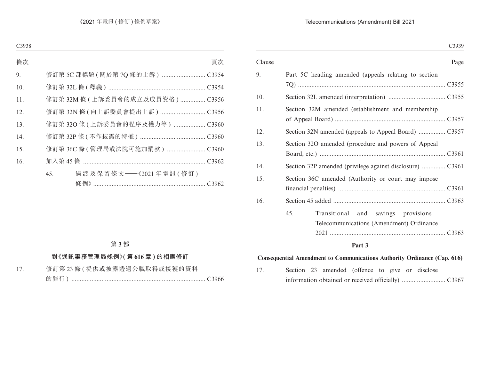#### Telecommunications (Amendment) Bill 2021

|        | C3939                                                |
|--------|------------------------------------------------------|
| Clause | Page                                                 |
| 9.     | Part 5C heading amended (appeals relating to section |
|        |                                                      |
| 10.    |                                                      |
| 11.    | Section 32M amended (establishment and membership    |
|        |                                                      |
| 12.    | Section 32N amended (appeals to Appeal Board)  C3957 |
| 13.    | Section 32O amended (procedure and powers of Appeal  |
|        |                                                      |
| 14.    |                                                      |
| 15.    | Section 36C amended (Authority or court may impose   |
|        |                                                      |
| 16.    |                                                      |
|        | 45.<br>Transitional and savings provisions-          |
|        | Telecommunications (Amendment) Ordinance             |
|        |                                                      |
|        | $\mathbf{D} \rightarrow \mathbf{A}$                  |

#### **Part 3**

#### **Consequential Amendment to Communications Authority Ordinance (Cap. 616)**

17. Section 23 amended (offence to give or disclose information obtained or received officially) .......................... C3967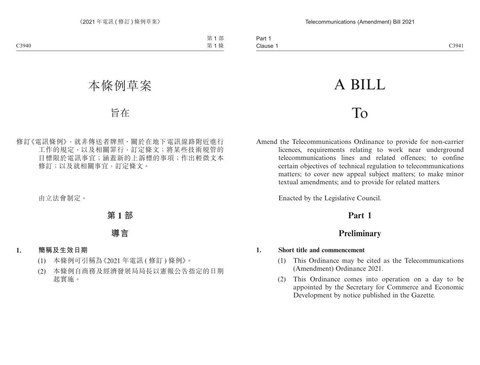# A BILL

# To

Amend the Telecommunications Ordinance to provide for non-carrier licences, requirements relating to work near underground telecommunications lines and related offences; to confine certain objectives of technical regulation to telecommunications matters; to cover new appeal subject matters; to make minor textual amendments; and to provide for related matters.

Enacted by the Legislative Council.

# **Part 1**

# **Preliminary**

#### **1. Short title and commencement**

- (1) This Ordinance may be cited as the Telecommunications (Amendment) Ordinance 2021.
- (2) This Ordinance comes into operation on a day to be appointed by the Secretary for Commerce and Economic Development by notice published in the Gazette.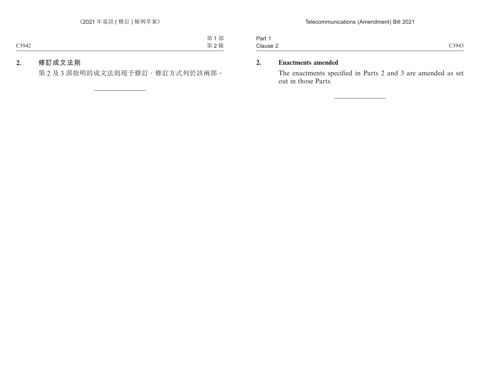Part 1 Clause 2 Clause 2 C3943

#### **2. Enactments amended**

The enactments specified in Parts 2 and 3 are amended as set out in those Parts.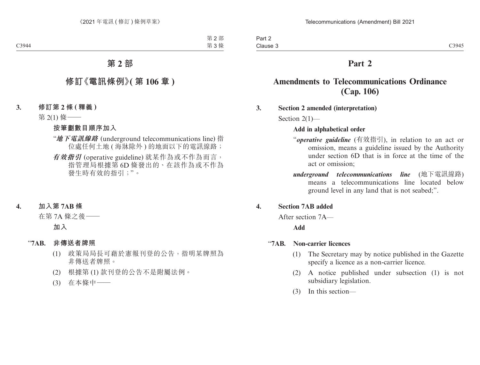### **Part 2**

### **Amendments to Telecommunications Ordinance (Cap. 106)**

#### **3. Section 2 amended (interpretation)**

Section 2(1)—

#### **Add in alphabetical order**

- "*operative guideline* (有效指引), in relation to an act or omission, means a guideline issued by the Authority under section 6D that is in force at the time of the act or omission;
- *underground telecommunications line* (地下電訊線路) means a telecommunications line located below ground level in any land that is not seabed;".

#### **4. Section 7AB added**

After section 7A—

#### **Add**

#### "**7AB. Non-carrier licences**

- (1) The Secretary may by notice published in the Gazette specify a licence as a non-carrier licence.
- (2) A notice published under subsection (1) is not subsidiary legislation.
- (3) In this section—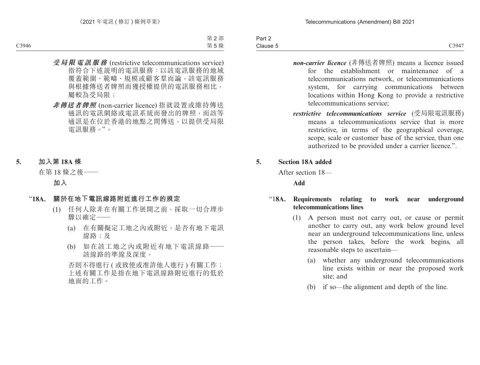| Part 2   |                 |
|----------|-----------------|
| Clause 5 | C3947<br>$\sim$ |

- *non-carrier licence* (非傳送者牌照) means a licence issued for the establishment or maintenance of a telecommunications network, or telecommunications system, for carrying communications between locations within Hong Kong to provide a restrictive telecommunications service;
- *restrictive telecommunications service* (受局限電訊服務) means a telecommunications service that is more restrictive, in terms of the geographical coverage, scope, scale or customer base of the service, than one authorized to be provided under a carrier licence.".

#### **5. Section 18A added**

After section 18—

**Add**

#### "1**8A. Requirements relating to work near underground telecommunications lines**

- (1) A person must not carry out, or cause or permit another to carry out, any work below ground level near an underground telecommunications line, unless the person takes, before the work begins, all reasonable steps to ascertain—
	- (a) whether any underground telecommunications line exists within or near the proposed work site; and
	- (b) if so—the alignment and depth of the line.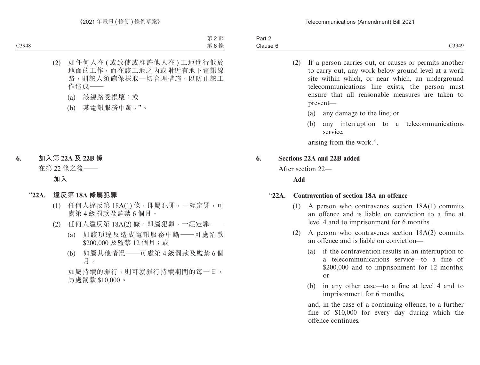Part 2 Clause 6  $\blacksquare$ Clause 6  $\blacksquare$ 

- (2) If a person carries out, or causes or permits another to carry out, any work below ground level at a work site within which, or near which, an underground telecommunications line exists, the person must ensure that all reasonable measures are taken to prevent—
	- (a) any damage to the line; or
	- (b) any interruption to a telecommunications service,

arising from the work.".

#### **6. Sections 22A and 22B added**

After section 22—

**Add**

#### "**22A. Contravention of section 18A an offence**

- (1) A person who contravenes section 18A(1) commits an offence and is liable on conviction to a fine at level 4 and to imprisonment for 6 months.
- (2) A person who contravenes section 18A(2) commits an offence and is liable on conviction—
	- (a) if the contravention results in an interruption to a telecommunications service—to a fine of \$200,000 and to imprisonment for 12 months; or
	- (b) in any other case—to a fine at level 4 and to imprisonment for 6 months,

and, in the case of a continuing offence, to a further fine of \$10,000 for every day during which the offence continues.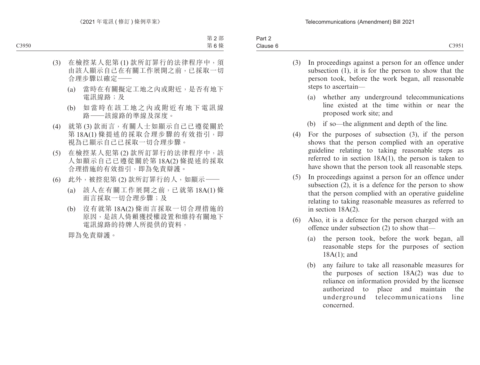- (3) In proceedings against a person for an offence under subsection (1), it is for the person to show that the person took, before the work began, all reasonable steps to ascertain—
	- (a) whether any underground telecommunications line existed at the time within or near the proposed work site; and
	- (b) if so—the alignment and depth of the line.
- (4) For the purposes of subsection (3), if the person shows that the person complied with an operative guideline relating to taking reasonable steps as referred to in section 18A(1), the person is taken to have shown that the person took all reasonable steps.
- (5) In proceedings against a person for an offence under subsection (2), it is a defence for the person to show that the person complied with an operative guideline relating to taking reasonable measures as referred to in section 18A(2).
- (6) Also, it is a defence for the person charged with an offence under subsection (2) to show that—
	- (a) the person took, before the work began, all reasonable steps for the purposes of section 18A(1); and
	- (b) any failure to take all reasonable measures for the purposes of section 18A(2) was due to reliance on information provided by the licensee authorized to place and maintain the underground telecommunications line concerned.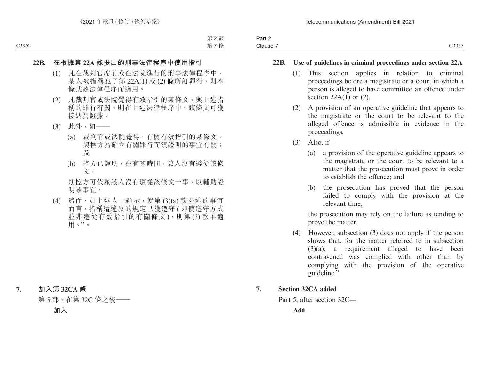#### **22B. Use of guidelines in criminal proceedings under section 22A**

- (1) This section applies in relation to criminal proceedings before a magistrate or a court in which a person is alleged to have committed an offence under section  $22A(1)$  or  $(2)$ .
- (2) A provision of an operative guideline that appears to the magistrate or the court to be relevant to the alleged offence is admissible in evidence in the proceedings.
- (3) Also, if—
	- (a) a provision of the operative guideline appears to the magistrate or the court to be relevant to a matter that the prosecution must prove in order to establish the offence; and
	- (b) the prosecution has proved that the person failed to comply with the provision at the relevant time,

the prosecution may rely on the failure as tending to prove the matter.

(4) However, subsection (3) does not apply if the person shows that, for the matter referred to in subsection (3)(a), a requirement alleged to have been contravened was complied with other than by complying with the provision of the operative guideline.".

#### **7. Section 32CA added**

Part 5, after section 32C—

**Add**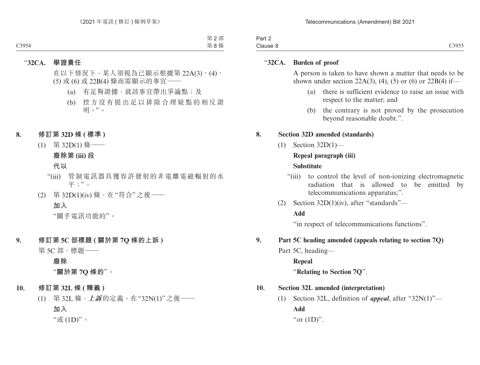| -<br>າ~~+<br>−arı ∠ |                                   |
|---------------------|-----------------------------------|
| Clause              | C3055<br>$\cup$ , $\cup$ , $\cup$ |

#### "**32CA. Burden of proof**

A person is taken to have shown a matter that needs to be shown under section 22A(3), (4), (5) or (6) or 22B(4) if—

- (a) there is sufficient evidence to raise an issue with respect to the matter; and
- (b) the contrary is not proved by the prosecution beyond reasonable doubt.".

#### **8. Section 32D amended (standards)**

(1) Section 32D(1)—

#### **Repeal paragraph (iii)**

#### **Substitute**

- "(iii) to control the level of non-ionizing electromagnetic radiation that is allowed to be emitted by telecommunications apparatus;".
- (2) Section 32D(1)(iv), after "standards"—

#### **Add**

"in respect of telecommunications functions".

#### **9. Part 5C heading amended (appeals relating to section 7Q)**

- Part 5C, heading—
	- **Repeal**

"**Relating to Section 7Q**".

#### **10. Section 32L amended (interpretation)**

(1) Section 32L, definition of *appeal*, after "32N(1)"— **Add** "or  $(1D)$ ".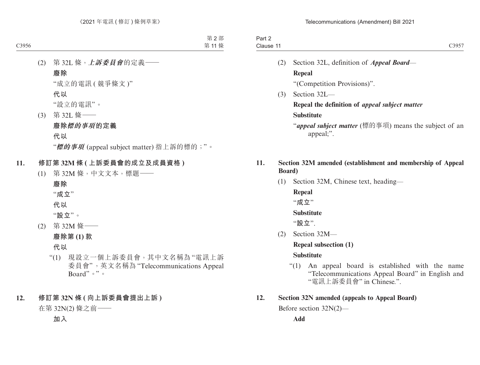| Part $\sim$ |                             |
|-------------|-----------------------------|
| Clause      | C3057<br>ーン<br>ັ<br>$    -$ |
|             |                             |

- (2) Section 32L, definition of *Appeal Board* **Repeal** "(Competition Provisions)".
- (3) Section 32L—

#### **Repeal the definition of** *appeal subject matter* **Substitute**

"*appeal subject matter* (標的事項) means the subject of an appeal;".

#### **11. Section 32M amended (establishment and membership of Appeal Board)**

(1) Section 32M, Chinese text, heading—

**Repeal** "**成立**"

#### **Substitute**

"**設立**".

(2) Section 32M—

**Repeal subsection (1)**

#### **Substitute**

"(1) An appeal board is established with the name "Telecommunications Appeal Board" in English and "電訊上訴委員會" in Chinese.".

#### **12. Section 32N amended (appeals to Appeal Board)**

Before section 32N(2)—

**Add**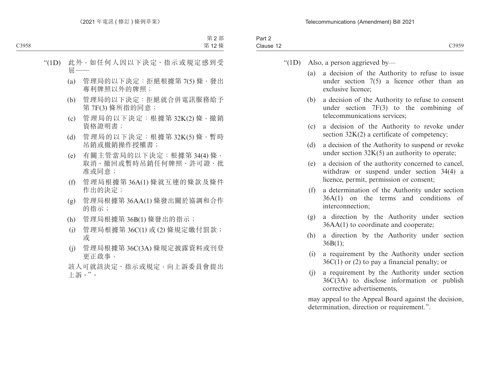- " $(1D)$  Also, a person aggrieved by—
	- (a) a decision of the Authority to refuse to issue under section 7(5) a licence other than an exclusive licence;
	- (b) a decision of the Authority to refuse to consent under section 7F(3) to the combining of telecommunications services;
	- (c) a decision of the Authority to revoke under section  $32K(2)$  a certificate of competency;
	- (d) a decision of the Authority to suspend or revoke under section  $32K(5)$  an authority to operate;
	- (e) a decision of the authority concerned to cancel, withdraw or suspend under section 34(4) a licence, permit, permission or consent;
	- (f) a determination of the Authority under section 36A(1) on the terms and conditions of interconnection;
	- (g) a direction by the Authority under section 36AA(1) to coordinate and cooperate;
	- (h) a direction by the Authority under section  $36B(1);$
	- (i) a requirement by the Authority under section  $36C(1)$  or (2) to pay a financial penalty; or
	- (j) a requirement by the Authority under section 36C(3A) to disclose information or publish corrective advertisements,

may appeal to the Appeal Board against the decision, determination, direction or requirement.".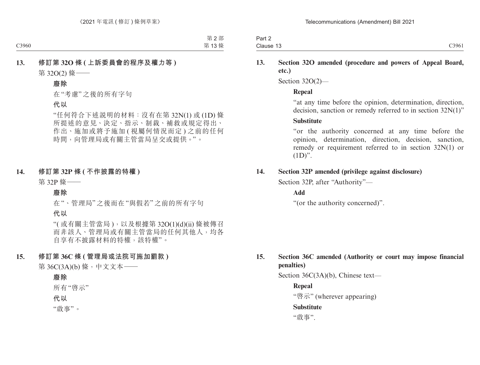| Part 2    |       |
|-----------|-------|
| Clause 13 | C3961 |

#### **13. Section 32O amended (procedure and powers of Appeal Board, etc.)**

Section 32O(2)—

#### **Repeal**

"at any time before the opinion, determination, direction, decision, sanction or remedy referred to in section 32N(1)"

#### **Substitute**

"or the authority concerned at any time before the opinion, determination, direction, decision, sanction, remedy or requirement referred to in section 32N(1) or  $(1D)$ ".

#### **14. Section 32P amended (privilege against disclosure)**

Section 32P, after "Authority"—

#### **Add**

"(or the authority concerned)".

#### **15. Section 36C amended (Authority or court may impose financial penalties)**

Section 36C(3A)(b), Chinese text—

#### **Repeal**

"啓示" (wherever appearing)

#### **Substitute**

"啟事".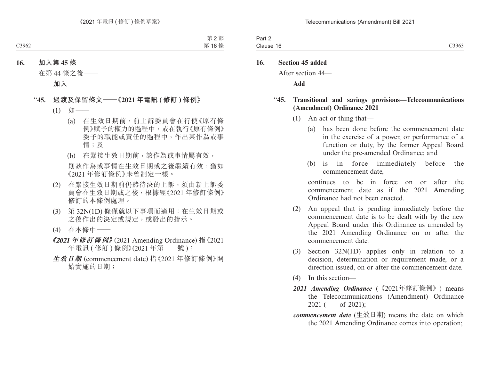| <b>STATES OF ALL AND STATES</b><br>$\sim$<br>Part 2 |       |
|-----------------------------------------------------|-------|
| Clause 16                                           | C3963 |

#### **16. Section 45 added**

After section 44—

**Add**

#### "**45. Transitional and savings provisions—Telecommunications (Amendment) Ordinance 2021**

- (1) An act or thing that—
	- (a) has been done before the commencement date in the exercise of a power, or performance of a function or duty, by the former Appeal Board under the pre-amended Ordinance; and
	- (b) is in force immediately before the commencement date,

continues to be in force on or after the commencement date as if the 2021 Amending Ordinance had not been enacted.

- (2) An appeal that is pending immediately before the commencement date is to be dealt with by the new Appeal Board under this Ordinance as amended by the 2021 Amending Ordinance on or after the commencement date.
- (3) Section 32N(1D) applies only in relation to a decision, determination or requirement made, or a direction issued, on or after the commencement date.
- (4) In this section—
- *2021 Amending Ordinance* (《2021年修訂條例》) means the Telecommunications (Amendment) Ordinance 2021 ( of 2021);
- *commencement date* (生效日期) means the date on which the 2021 Amending Ordinance comes into operation;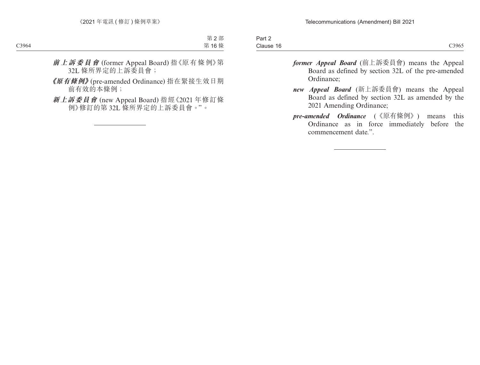| -<br>Part $\geq$        |       |
|-------------------------|-------|
| Clause<br>. .<br>$\sim$ | C3965 |

- *former Appeal Board* (前上訴委員會) means the Appeal Board as defined by section 32L of the pre-amended Ordinance;
- *new Appeal Board* (新上訴委員會) means the Appeal Board as defined by section 32L as amended by the 2021 Amending Ordinance;
- *pre-amended Ordinance* (《原有條例》) means this Ordinance as in force immediately before the commencement date.".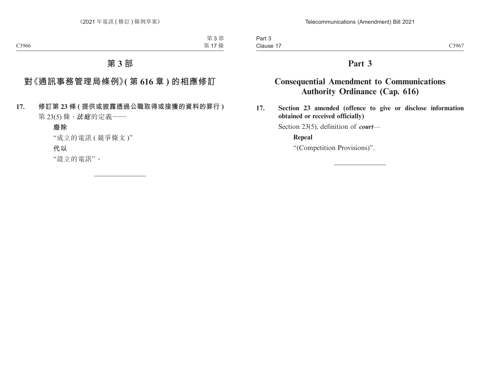# **Part 3**

# **Consequential Amendment to Communications Authority Ordinance (Cap. 616)**

**17. Section 23 amended (offence to give or disclose information obtained or received officially)**

Section 23(5), definition of *court*—

#### **Repeal**

"(Competition Provisions)".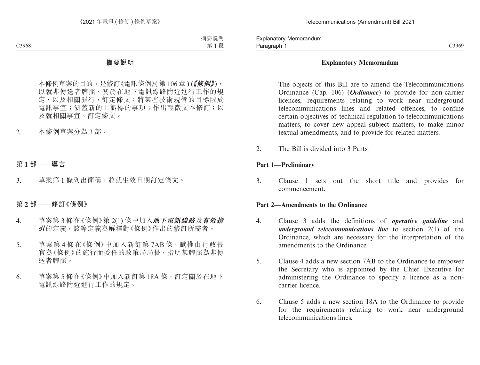#### **Explanatory Memorandum**

The objects of this Bill are to amend the Telecommunications Ordinance (Cap. 106) (*Ordinance*) to provide for non-carrier licences, requirements relating to work near underground telecommunications lines and related offences, to confine certain objectives of technical regulation to telecommunications matters, to cover new appeal subject matters, to make minor textual amendments, and to provide for related matters.

2. The Bill is divided into 3 Parts.

#### **Part 1—Preliminary**

3. Clause 1 sets out the short title and provides for commencement.

#### **Part 2—Amendments to the Ordinance**

- 4. Clause 3 adds the definitions of *operative guideline* and *underground telecommunications line* to section 2(1) of the Ordinance, which are necessary for the interpretation of the amendments to the Ordinance.
- 5. Clause 4 adds a new section 7AB to the Ordinance to empower the Secretary who is appointed by the Chief Executive for administering the Ordinance to specify a licence as a noncarrier licence.
- 6. Clause 5 adds a new section 18A to the Ordinance to provide for the requirements relating to work near underground telecommunications lines.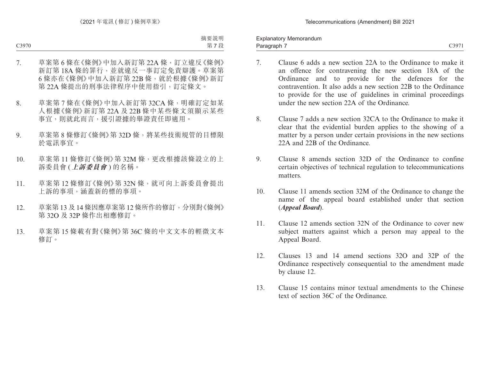Paragraph 7 and 2007 C3971 Explanatory Memorandum Paragraph 7

- 7. Clause 6 adds a new section 22A to the Ordinance to make it an offence for contravening the new section 18A of the Ordinance and to provide for the defences for the contravention. It also adds a new section 22B to the Ordinance to provide for the use of guidelines in criminal proceedings under the new section 22A of the Ordinance.
- 8. Clause 7 adds a new section 32CA to the Ordinance to make it clear that the evidential burden applies to the showing of a matter by a person under certain provisions in the new sections 22A and 22B of the Ordinance.
- 9. Clause 8 amends section 32D of the Ordinance to confine certain objectives of technical regulation to telecommunications matters.
- 10. Clause 11 amends section 32M of the Ordinance to change the name of the appeal board established under that section (*Appeal Board*).
- 11. Clause 12 amends section 32N of the Ordinance to cover new subject matters against which a person may appeal to the Appeal Board.
- 12. Clauses 13 and 14 amend sections 32O and 32P of the Ordinance respectively consequential to the amendment made by clause 12.
- 13. Clause 15 contains minor textual amendments to the Chinese text of section 36C of the Ordinance.